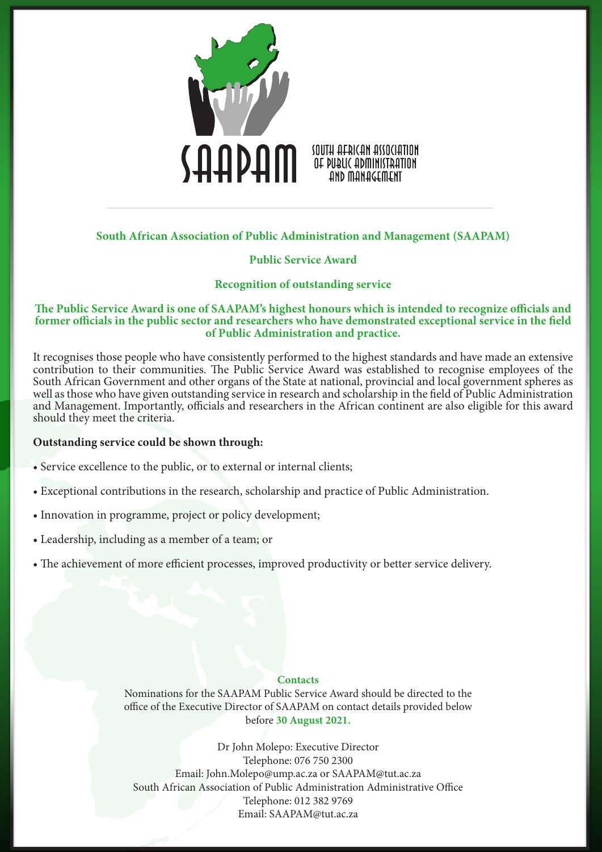

# **South African Association of Public Administration and Management (SAAPAM)**

# **Public Service Award**

## **Recognition of outstanding service**

## **The Public Service Award is one of SAAPAM's highest honours which is intended to recognize officials and former officials in the public sector and researchers who have demonstrated exceptional service in the field of Public Administration and practice.**

It recognises those people who have consistently performed to the highest standards and have made an extensive contribution to their communities. The Public Service Award was established to recognise employees of the South African Government and other organs of the State at national, provincial and local government spheres as well as those who have given outstanding service in research and scholarship in the field of Public Administration and Management. Importantly, officials and researchers in the African continent are also eligible for this award should they meet the criteria.

### **Outstanding service could be shown through:**

- Service excellence to the public, or to external or internal clients;
- Exceptional contributions in the research, scholarship and practice of Public Administration.
- Innovation in programme, project or policy development;
- Leadership, including as a member of a team; or
- The achievement of more efficient processes, improved productivity or better service delivery.

## **Contacts**

Nominations for the SAAPAM Public Service Award should be directed to the office of the Executive Director of SAAPAM on contact details provided below before **30 August 2021.**

Dr John Molepo: Executive Director Telephone: 076 750 2300 Email: John.Molepo@ump.ac.za or SAAPAM@tut.ac.za South African Association of Public Administration Administrative Office Telephone: 012 382 9769 Email: SAAPAM@tut.ac.za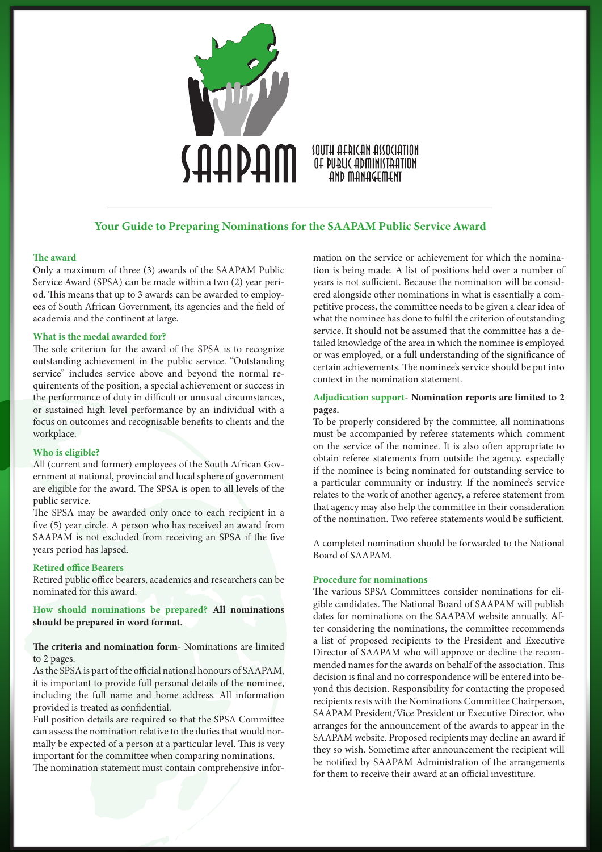

## **Your Guide to Preparing Nominations for the SAAPAM Public Service Award**

#### **The award**

Only a maximum of three (3) awards of the SAAPAM Public Service Award (SPSA) can be made within a two (2) year period. This means that up to 3 awards can be awarded to employees of South African Government, its agencies and the field of academia and the continent at large.

### **What is the medal awarded for?**

The sole criterion for the award of the SPSA is to recognize outstanding achievement in the public service. "Outstanding service" includes service above and beyond the normal requirements of the position, a special achievement or success in the performance of duty in difficult or unusual circumstances, or sustained high level performance by an individual with a focus on outcomes and recognisable benefits to clients and the workplace.

#### **Who is eligible?**

All (current and former) employees of the South African Government at national, provincial and local sphere of government are eligible for the award. The SPSA is open to all levels of the public service.

The SPSA may be awarded only once to each recipient in a five (5) year circle. A person who has received an award from SAAPAM is not excluded from receiving an SPSA if the five years period has lapsed.

#### **Retired office Bearers**

Retired public office bearers, academics and researchers can be nominated for this award.

**How should nominations be prepared? All nominations should be prepared in word format.**

### **The criteria and nomination form**- Nominations are limited to 2 pages.

As the SPSA is part of the official national honours of SAAPAM, it is important to provide full personal details of the nominee, including the full name and home address. All information provided is treated as confidential.

Full position details are required so that the SPSA Committee can assess the nomination relative to the duties that would normally be expected of a person at a particular level. This is very important for the committee when comparing nominations. The nomination statement must contain comprehensive information on the service or achievement for which the nomination is being made. A list of positions held over a number of years is not sufficient. Because the nomination will be considered alongside other nominations in what is essentially a competitive process, the committee needs to be given a clear idea of what the nominee has done to fulfil the criterion of outstanding service. It should not be assumed that the committee has a detailed knowledge of the area in which the nominee is employed or was employed, or a full understanding of the significance of certain achievements. The nominee's service should be put into context in the nomination statement.

### **Adjudication support**- **Nomination reports are limited to 2 pages.**

To be properly considered by the committee, all nominations must be accompanied by referee statements which comment on the service of the nominee. It is also often appropriate to obtain referee statements from outside the agency, especially if the nominee is being nominated for outstanding service to a particular community or industry. If the nominee's service relates to the work of another agency, a referee statement from that agency may also help the committee in their consideration of the nomination. Two referee statements would be sufficient.

A completed nomination should be forwarded to the National Board of SAAPAM.

#### **Procedure for nominations**

The various SPSA Committees consider nominations for eligible candidates. The National Board of SAAPAM will publish dates for nominations on the SAAPAM website annually. After considering the nominations, the committee recommends a list of proposed recipients to the President and Executive Director of SAAPAM who will approve or decline the recommended names for the awards on behalf of the association. This decision is final and no correspondence will be entered into beyond this decision. Responsibility for contacting the proposed recipients rests with the Nominations Committee Chairperson, SAAPAM President/Vice President or Executive Director, who arranges for the announcement of the awards to appear in the SAAPAM website. Proposed recipients may decline an award if they so wish. Sometime after announcement the recipient will be notified by SAAPAM Administration of the arrangements for them to receive their award at an official investiture.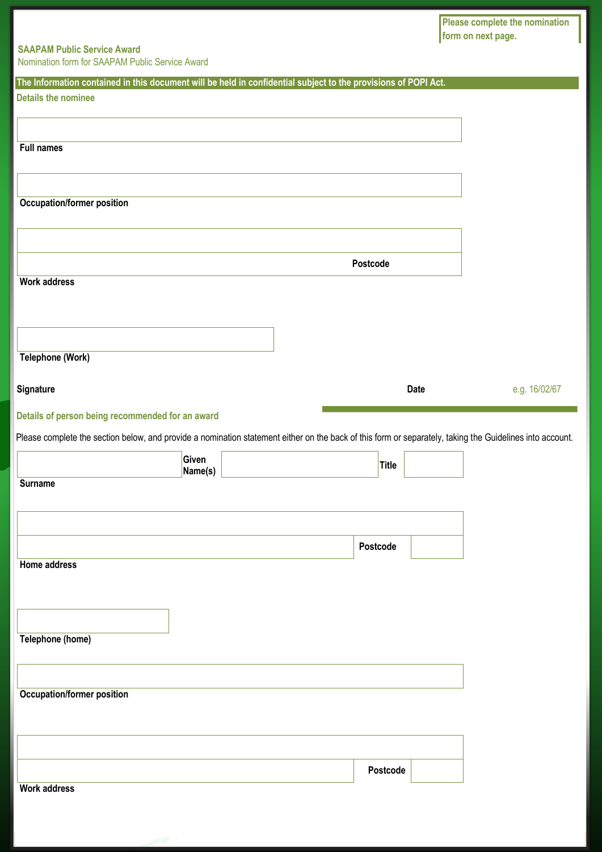**Please complete the nomination form on next page.** 

# **SAAPAM Public Service Award**

Nomination form for SAAPAM Public Service Award

| The Information contained in this document will be held in confidential subject to the provisions of POPI Act.                                           |             |               |
|----------------------------------------------------------------------------------------------------------------------------------------------------------|-------------|---------------|
| <b>Details the nominee</b>                                                                                                                               |             |               |
|                                                                                                                                                          |             |               |
|                                                                                                                                                          |             |               |
| <b>Full names</b>                                                                                                                                        |             |               |
|                                                                                                                                                          |             |               |
|                                                                                                                                                          |             |               |
| <b>Occupation/former position</b>                                                                                                                        |             |               |
|                                                                                                                                                          |             |               |
|                                                                                                                                                          |             |               |
|                                                                                                                                                          |             |               |
|                                                                                                                                                          | Postcode    |               |
| <b>Work address</b>                                                                                                                                      |             |               |
|                                                                                                                                                          |             |               |
|                                                                                                                                                          |             |               |
|                                                                                                                                                          |             |               |
| <b>Telephone (Work)</b>                                                                                                                                  |             |               |
|                                                                                                                                                          |             |               |
| Signature                                                                                                                                                | <b>Date</b> | e.g. 16/02/67 |
| Details of person being recommended for an award                                                                                                         |             |               |
|                                                                                                                                                          |             |               |
| Please complete the section below, and provide a nomination statement either on the back of this form or separately, taking the Guidelines into account. |             |               |
| Given<br>Name(s)                                                                                                                                         | Title       |               |
| <b>Surname</b>                                                                                                                                           |             |               |
|                                                                                                                                                          |             |               |
|                                                                                                                                                          |             |               |
|                                                                                                                                                          |             |               |
|                                                                                                                                                          | Postcode    |               |
| Home address                                                                                                                                             |             |               |
|                                                                                                                                                          |             |               |
|                                                                                                                                                          |             |               |
|                                                                                                                                                          |             |               |
| Telephone (home)                                                                                                                                         |             |               |
|                                                                                                                                                          |             |               |
|                                                                                                                                                          |             |               |
| <b>Occupation/former position</b>                                                                                                                        |             |               |
|                                                                                                                                                          |             |               |
|                                                                                                                                                          |             |               |
|                                                                                                                                                          |             |               |
|                                                                                                                                                          | Postcode    |               |
| <b>Work address</b>                                                                                                                                      |             |               |
|                                                                                                                                                          |             |               |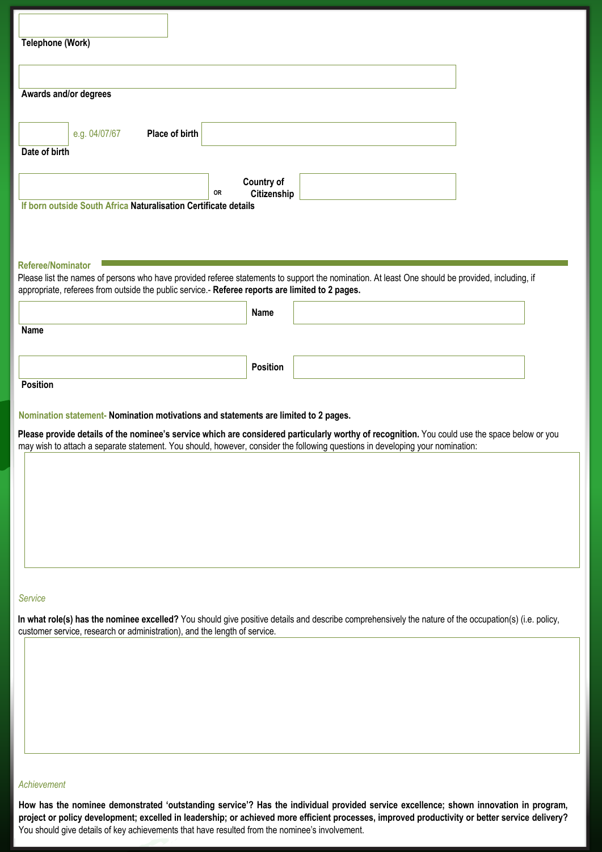| Telephone (Work)                                                                                                                                                                                                                                                               |               |                |    |                   |  |  |  |  |
|--------------------------------------------------------------------------------------------------------------------------------------------------------------------------------------------------------------------------------------------------------------------------------|---------------|----------------|----|-------------------|--|--|--|--|
|                                                                                                                                                                                                                                                                                |               |                |    |                   |  |  |  |  |
| Awards and/or degrees                                                                                                                                                                                                                                                          |               |                |    |                   |  |  |  |  |
|                                                                                                                                                                                                                                                                                |               |                |    |                   |  |  |  |  |
|                                                                                                                                                                                                                                                                                | e.g. 04/07/67 | Place of birth |    |                   |  |  |  |  |
| Date of birth                                                                                                                                                                                                                                                                  |               |                |    |                   |  |  |  |  |
|                                                                                                                                                                                                                                                                                |               |                |    | <b>Country of</b> |  |  |  |  |
|                                                                                                                                                                                                                                                                                |               |                | OR | Citizenship       |  |  |  |  |
| If born outside South Africa Naturalisation Certificate details                                                                                                                                                                                                                |               |                |    |                   |  |  |  |  |
|                                                                                                                                                                                                                                                                                |               |                |    |                   |  |  |  |  |
| <b>Referee/Nominator</b>                                                                                                                                                                                                                                                       |               |                |    |                   |  |  |  |  |
| Please list the names of persons who have provided referee statements to support the nomination. At least One should be provided, including, if                                                                                                                                |               |                |    |                   |  |  |  |  |
| appropriate, referees from outside the public service.- Referee reports are limited to 2 pages.                                                                                                                                                                                |               |                |    |                   |  |  |  |  |
|                                                                                                                                                                                                                                                                                |               |                |    | Name              |  |  |  |  |
| <b>Name</b>                                                                                                                                                                                                                                                                    |               |                |    |                   |  |  |  |  |
|                                                                                                                                                                                                                                                                                |               |                |    | Position          |  |  |  |  |
| <b>Position</b>                                                                                                                                                                                                                                                                |               |                |    |                   |  |  |  |  |
|                                                                                                                                                                                                                                                                                |               |                |    |                   |  |  |  |  |
| Nomination statement- Nomination motivations and statements are limited to 2 pages.                                                                                                                                                                                            |               |                |    |                   |  |  |  |  |
| Please provide details of the nominee's service which are considered particularly worthy of recognition. You could use the space below or you<br>may wish to attach a separate statement. You should, however, consider the following questions in developing your nomination: |               |                |    |                   |  |  |  |  |
|                                                                                                                                                                                                                                                                                |               |                |    |                   |  |  |  |  |
|                                                                                                                                                                                                                                                                                |               |                |    |                   |  |  |  |  |
|                                                                                                                                                                                                                                                                                |               |                |    |                   |  |  |  |  |
|                                                                                                                                                                                                                                                                                |               |                |    |                   |  |  |  |  |
|                                                                                                                                                                                                                                                                                |               |                |    |                   |  |  |  |  |
|                                                                                                                                                                                                                                                                                |               |                |    |                   |  |  |  |  |
|                                                                                                                                                                                                                                                                                |               |                |    |                   |  |  |  |  |
| Service                                                                                                                                                                                                                                                                        |               |                |    |                   |  |  |  |  |
| In what role(s) has the nominee excelled? You should give positive details and describe comprehensively the nature of the occupation(s) (i.e. policy,<br>customer service, research or administration), and the length of service.                                             |               |                |    |                   |  |  |  |  |
|                                                                                                                                                                                                                                                                                |               |                |    |                   |  |  |  |  |
|                                                                                                                                                                                                                                                                                |               |                |    |                   |  |  |  |  |
|                                                                                                                                                                                                                                                                                |               |                |    |                   |  |  |  |  |
|                                                                                                                                                                                                                                                                                |               |                |    |                   |  |  |  |  |
|                                                                                                                                                                                                                                                                                |               |                |    |                   |  |  |  |  |
|                                                                                                                                                                                                                                                                                |               |                |    |                   |  |  |  |  |

### *Achievement*

**How has the nominee demonstrated 'outstanding service'? Has the individual provided service excellence; shown innovation in program, project or policy development; excelled in leadership; or achieved more efficient processes, improved productivity or better service delivery?** You should give details of key achievements that have resulted from the nominee's involvement.